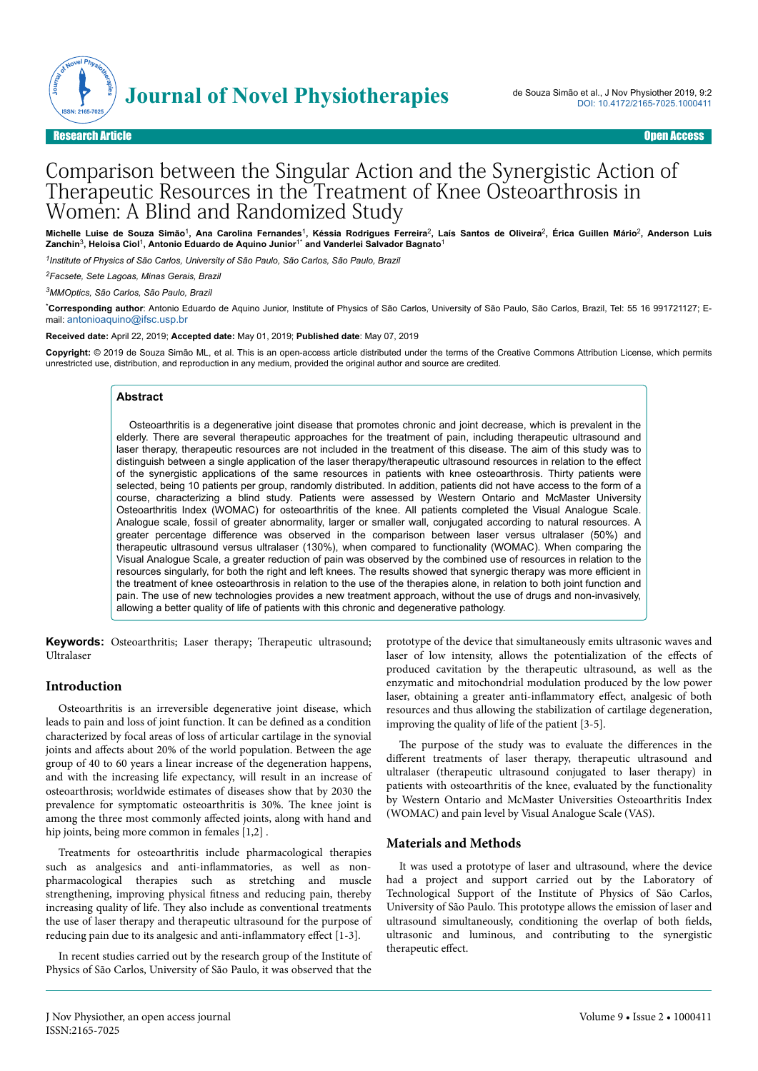

# Comparison between the Singular Action and the Synergistic Action of Therapeutic Resources in the Treatment of Knee Osteoarthrosis in Women: A Blind and Randomized Study

**Michelle Luise de Souza Simão**<sup>1</sup> **, Ana Carolina Fernandes**<sup>1</sup> **, Késsia Rodrigues Ferreira**<sup>2</sup> **, Laís Santos de Oliveira**<sup>2</sup> **, Érica Guillen Mário**<sup>2</sup> **, Anderson Luis Zanchin**<sup>3</sup> **, Heloisa Ciol**<sup>1</sup> **, Antonio Eduardo de Aquino Junior**1\* **and Vanderlei Salvador Bagnato**<sup>1</sup>

*1 Institute of Physics of São Carlos, University of São Paulo, São Carlos, São Paulo, Brazil*

*<sup>2</sup>Facsete, Sete Lagoas, Minas Gerais, Brazil*

*<sup>3</sup>MMOptics, São Carlos, São Paulo, Brazil*

\***Corresponding author**: Antonio Eduardo de Aquino Junior, Institute of Physics of São Carlos, University of São Paulo, São Carlos, Brazil, Tel: 55 16 991721127; Email: [antonioaquino@ifsc.usp.br](mailto:antonioaquino@ifsc.usp.br)

**Received date:** April 22, 2019; **Accepted date:** May 01, 2019; **Published date**: May 07, 2019

**Copyright:** © 2019 de Souza Simão ML, et al. This is an open-access article distributed under the terms of the Creative Commons Attribution License, which permits unrestricted use, distribution, and reproduction in any medium, provided the original author and source are credited.

#### **Abstract**

Osteoarthritis is a degenerative joint disease that promotes chronic and joint decrease, which is prevalent in the elderly. There are several therapeutic approaches for the treatment of pain, including therapeutic ultrasound and laser therapy, therapeutic resources are not included in the treatment of this disease. The aim of this study was to distinguish between a single application of the laser therapy/therapeutic ultrasound resources in relation to the effect of the synergistic applications of the same resources in patients with knee osteoarthrosis. Thirty patients were selected, being 10 patients per group, randomly distributed. In addition, patients did not have access to the form of a course, characterizing a blind study. Patients were assessed by Western Ontario and McMaster University Osteoarthritis Index (WOMAC) for osteoarthritis of the knee. All patients completed the Visual Analogue Scale. Analogue scale, fossil of greater abnormality, larger or smaller wall, conjugated according to natural resources. A greater percentage difference was observed in the comparison between laser versus ultralaser (50%) and therapeutic ultrasound versus ultralaser (130%), when compared to functionality (WOMAC). When comparing the Visual Analogue Scale, a greater reduction of pain was observed by the combined use of resources in relation to the resources singularly, for both the right and left knees. The results showed that synergic therapy was more efficient in the treatment of knee osteoarthrosis in relation to the use of the therapies alone, in relation to both joint function and pain. The use of new technologies provides a new treatment approach, without the use of drugs and non-invasively, allowing a better quality of life of patients with this chronic and degenerative pathology.

**Keywords:** Osteoarthritis; Laser therapy; Therapeutic ultrasound; Ultralaser

#### **Introduction**

Osteoarthritis is an irreversible degenerative joint disease, which leads to pain and loss of joint function. It can be defined as a condition characterized by focal areas of loss of articular cartilage in the synovial joints and affects about 20% of the world population. Between the age group of 40 to 60 years a linear increase of the degeneration happens, and with the increasing life expectancy, will result in an increase of osteoarthrosis; worldwide estimates of diseases show that by 2030 the prevalence for symptomatic osteoarthritis is 30%. Нe knee joint is among the three most commonly affected joints, along with hand and hip joints, being more common in females [1,2].

Treatments for osteoarthritis include pharmacological therapies such as analgesics and anti-inflammatories, as well as nonpharmacological therapies such as stretching and muscle strengthening, improving physical fitness and reducing pain, thereby increasing quality of life. They also include as conventional treatments the use of laser therapy and therapeutic ultrasound for the purpose of reducing pain due to its analgesic and anti-inflammatory effect  $[1-3]$ .

In recent studies carried out by the research group of the Institute of Physics of São Carlos, University of São Paulo, it was observed that the prototype of the device that simultaneously emits ultrasonic waves and laser of low intensity, allows the potentialization of the effects of produced cavitation by the therapeutic ultrasound, as well as the enzymatic and mitochondrial modulation produced by the low power laser, obtaining a greater anti-inflammatory effect, analgesic of both resources and thus allowing the stabilization of cartilage degeneration, improving the quality of life of the patient [3-5].

The purpose of the study was to evaluate the differences in the different treatments of laser therapy, therapeutic ultrasound and ultralaser (therapeutic ultrasound conjugated to laser therapy) in patients with osteoarthritis of the knee, evaluated by the functionality by Western Ontario and McMaster Universities Osteoarthritis Index (WOMAC) and pain level by Visual Analogue Scale (VAS).

## **Materials and Methods**

It was used a prototype of laser and ultrasound, where the device had a project and support carried out by the Laboratory of Technological Support of the Institute of Physics of São Carlos, University of São Paulo. This prototype allows the emission of laser and ultrasound simultaneously, conditioning the overlap of both fields, ultrasonic and luminous, and contributing to the synergistic therapeutic effect.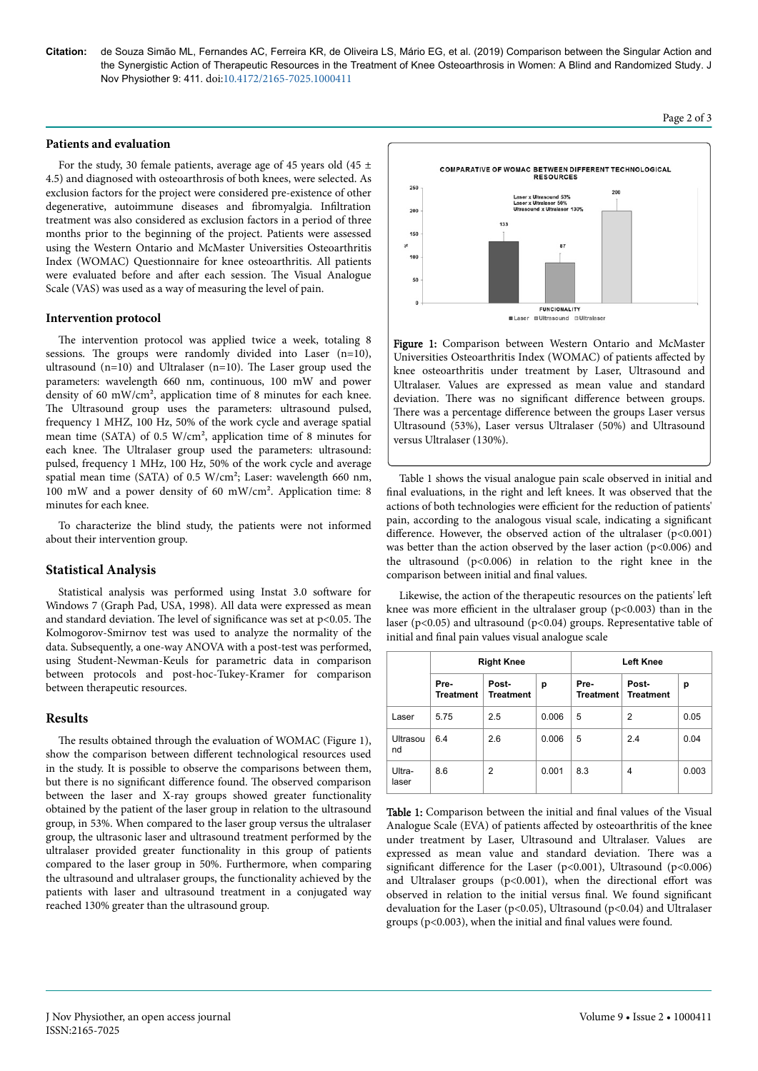**Citation:** de Souza Simão ML, Fernandes AC, Ferreira KR, de Oliveira LS, Mário EG, et al. (2019) Comparison between the Singular Action and the Synergistic Action of Therapeutic Resources in the Treatment of Knee Osteoarthrosis in Women: A Blind and Randomized Study. J Nov Physiother 9: 411. doi:10.4172/2165-7025.1000411

## **Patients and evaluation**

For the study, 30 female patients, average age of 45 years old (45  $\pm$ 4.5) and diagnosed with osteoarthrosis of both knees, were selected. As exclusion factors for the project were considered pre-existence of other degenerative, autoimmune diseases and fibromyalgia. Infiltration treatment was also considered as exclusion factors in a period of three months prior to the beginning of the project. Patients were assessed using the Western Ontario and McMaster Universities Osteoarthritis Index (WOMAC) Questionnaire for knee osteoarthritis. All patients were evaluated before and after each session. The Visual Analogue Scale (VAS) was used as a way of measuring the level of pain.

#### **Intervention protocol**

The intervention protocol was applied twice a week, totaling 8 sessions. The groups were randomly divided into Laser (n=10), ultrasound (n=10) and Ultralaser (n=10). Нe Laser group used the parameters: wavelength 660 nm, continuous, 100 mW and power density of 60 mW/cm², application time of 8 minutes for each knee. The Ultrasound group uses the parameters: ultrasound pulsed, frequency 1 MHZ, 100 Hz, 50% of the work cycle and average spatial mean time (SATA) of 0.5 W/cm², application time of 8 minutes for each knee. The Ultralaser group used the parameters: ultrasound: pulsed, frequency 1 MHz, 100 Hz, 50% of the work cycle and average spatial mean time (SATA) of 0.5 W/cm²; Laser: wavelength 660 nm, 100 mW and a power density of 60 mW/cm². Application time: 8 minutes for each knee.

To characterize the blind study, the patients were not informed about their intervention group.

## **Statistical Analysis**

Statistical analysis was performed using Instat 3.0 software for Windows 7 (Graph Pad, USA, 1998). All data were expressed as mean and standard deviation. The level of significance was set at  $p<0.05$ . The Kolmogorov-Smirnov test was used to analyze the normality of the data. Subsequently, a one-way ANOVA with a post-test was performed, using Student-Newman-Keuls for parametric data in comparison between protocols and post-hoc-Tukey-Kramer for comparison between therapeutic resources.

## **Results**

The results obtained through the evaluation of WOMAC (Figure 1), show the comparison between different technological resources used in the study. It is possible to observe the comparisons between them, but there is no significant difference found. The observed comparison between the laser and X-ray groups showed greater functionality obtained by the patient of the laser group in relation to the ultrasound group, in 53%. When compared to the laser group versus the ultralaser group, the ultrasonic laser and ultrasound treatment performed by the ultralaser provided greater functionality in this group of patients compared to the laser group in 50%. Furthermore, when comparing the ultrasound and ultralaser groups, the functionality achieved by the patients with laser and ultrasound treatment in a conjugated way reached 130% greater than the ultrasound group.



Figure 1: Comparison between Western Ontario and McMaster Universities Osteoarthritis Index (WOMAC) of patients affected by knee osteoarthritis under treatment by Laser, Ultrasound and Ultralaser. Values are expressed as mean value and standard deviation. There was no significant difference between groups. There was a percentage difference between the groups Laser versus Ultrasound (53%), Laser versus Ultralaser (50%) and Ultrasound versus Ultralaser (130%).

Table 1 shows the visual analogue pain scale observed in initial and final evaluations, in the right and left knees. It was observed that the actions of both technologies were efficient for the reduction of patients' pain, according to the analogous visual scale, indicating a significant difference. However, the observed action of the ultralaser  $(p<0.001)$ was better than the action observed by the laser action (p<0.006) and the ultrasound  $(p<0.006)$  in relation to the right knee in the comparison between initial and final values.

Likewise, the action of the therapeutic resources on the patients' left knee was more efficient in the ultralaser group ( $p$ <0.003) than in the laser ( $p$ <0.05) and ultrasound ( $p$ <0.04) groups. Representative table of initial and final pain values visual analogue scale

|                 | <b>Right Knee</b>        |                           |       | <b>Left Knee</b>  |                           |       |
|-----------------|--------------------------|---------------------------|-------|-------------------|---------------------------|-------|
|                 | Pre-<br><b>Treatment</b> | Post-<br><b>Treatment</b> | р     | Pre-<br>Treatment | Post-<br><b>Treatment</b> | р     |
| Laser           | 5.75                     | 2.5                       | 0.006 | 5                 | 2                         | 0.05  |
| Ultrasou<br>nd  | 6.4                      | 2.6                       | 0.006 | 5                 | 2.4                       | 0.04  |
| Ultra-<br>laser | 8.6                      | 2                         | 0.001 | 8.3               | 4                         | 0.003 |

Table 1: Comparison between the initial and final values of the Visual Analogue Scale (EVA) of patients affected by osteoarthritis of the knee under treatment by Laser, Ultrasound and Ultralaser. Values are expressed as mean value and standard deviation. Нere was a significant difference for the Laser (p<0.001), Ultrasound (p<0.006) and Ultralaser groups ( $p<0.001$ ), when the directional effort was observed in relation to the initial versus final. We found significant devaluation for the Laser (p<0.05), Ultrasound (p<0.04) and Ultralaser groups (p<0.003), when the initial and final values were found.